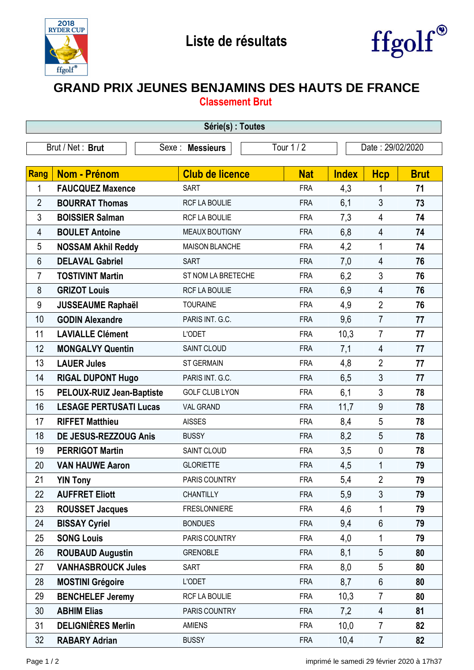



## **GRAND PRIX JEUNES BENJAMINS DES HAUTS DE FRANCE**

**Classement Brut**

| Série(s) : Toutes |                               |                                |            |                  |                |             |  |  |  |
|-------------------|-------------------------------|--------------------------------|------------|------------------|----------------|-------------|--|--|--|
| Brut / Net: Brut  |                               | Tour 1 / 2<br>Sexe : Messieurs |            | Date: 29/02/2020 |                |             |  |  |  |
|                   |                               |                                |            |                  |                |             |  |  |  |
| Rang              | <b>Nom - Prénom</b>           | <b>Club de licence</b>         | <b>Nat</b> | <b>Index</b>     | <b>Hcp</b>     | <b>Brut</b> |  |  |  |
| 1                 | <b>FAUCQUEZ Maxence</b>       | <b>SART</b>                    | <b>FRA</b> | 4,3              | 1              | 71          |  |  |  |
| $\overline{2}$    | <b>BOURRAT Thomas</b>         | RCF LA BOULIE                  | <b>FRA</b> | 6,1              | $\mathfrak{Z}$ | 73          |  |  |  |
| 3                 | <b>BOISSIER Salman</b>        | RCF LA BOULIE                  | <b>FRA</b> | 7,3              | 4              | 74          |  |  |  |
| 4                 | <b>BOULET Antoine</b>         | <b>MEAUX BOUTIGNY</b>          | <b>FRA</b> | 6,8              | $\overline{4}$ | 74          |  |  |  |
| 5                 | <b>NOSSAM Akhil Reddy</b>     | <b>MAISON BLANCHE</b>          | <b>FRA</b> | 4,2              | 1              | 74          |  |  |  |
| 6                 | <b>DELAVAL Gabriel</b>        | <b>SART</b>                    | <b>FRA</b> | 7,0              | $\overline{4}$ | 76          |  |  |  |
| 7                 | <b>TOSTIVINT Martin</b>       | ST NOM LA BRETECHE             | <b>FRA</b> | 6,2              | $\mathfrak{Z}$ | 76          |  |  |  |
| 8                 | <b>GRIZOT Louis</b>           | RCF LA BOULIE                  | <b>FRA</b> | 6,9              | $\overline{4}$ | 76          |  |  |  |
| $9\,$             | <b>JUSSEAUME Raphaël</b>      | <b>TOURAINE</b>                | <b>FRA</b> | 4,9              | $\overline{2}$ | 76          |  |  |  |
| 10                | <b>GODIN Alexandre</b>        | PARIS INT. G.C.                | <b>FRA</b> | 9,6              | $\overline{7}$ | 77          |  |  |  |
| 11                | <b>LAVIALLE Clément</b>       | <b>L'ODET</b>                  | <b>FRA</b> | 10,3             | $\overline{7}$ | 77          |  |  |  |
| 12                | <b>MONGALVY Quentin</b>       | SAINT CLOUD                    | <b>FRA</b> | 7,1              | $\overline{4}$ | 77          |  |  |  |
| 13                | <b>LAUER Jules</b>            | <b>ST GERMAIN</b>              | <b>FRA</b> | 4,8              | $\overline{2}$ | 77          |  |  |  |
| 14                | <b>RIGAL DUPONT Hugo</b>      | PARIS INT. G.C.                | <b>FRA</b> | 6,5              | 3              | 77          |  |  |  |
| 15                | PELOUX-RUIZ Jean-Baptiste     | <b>GOLF CLUB LYON</b>          | <b>FRA</b> | 6,1              | 3              | 78          |  |  |  |
| 16                | <b>LESAGE PERTUSATI Lucas</b> | <b>VAL GRAND</b>               | <b>FRA</b> | 11,7             | 9              | 78          |  |  |  |
| 17                | <b>RIFFET Matthieu</b>        | <b>AISSES</b>                  | <b>FRA</b> | 8,4              | 5              | 78          |  |  |  |
| 18                | DE JESUS-REZZOUG Anis         | <b>BUSSY</b>                   | <b>FRA</b> | 8,2              | 5              | 78          |  |  |  |
| 19                | <b>PERRIGOT Martin</b>        | SAINT CLOUD                    | <b>FRA</b> | 3,5              | $\mathbf 0$    | 78          |  |  |  |
| 20                | <b>VAN HAUWE Aaron</b>        | <b>GLORIETTE</b>               | <b>FRA</b> | 4,5              | 1              | 79          |  |  |  |
| 21                | <b>YIN Tony</b>               | PARIS COUNTRY                  | <b>FRA</b> | 5,4              | $\overline{2}$ | 79          |  |  |  |
| 22                | <b>AUFFRET Eliott</b>         | <b>CHANTILLY</b>               | <b>FRA</b> | 5,9              | 3              | 79          |  |  |  |
| 23                | <b>ROUSSET Jacques</b>        | <b>FRESLONNIERE</b>            | <b>FRA</b> | 4,6              | 1              | 79          |  |  |  |
| 24                | <b>BISSAY Cyriel</b>          | <b>BONDUES</b>                 | <b>FRA</b> | 9,4              | $6\phantom{1}$ | 79          |  |  |  |
| 25                | <b>SONG Louis</b>             | PARIS COUNTRY                  | <b>FRA</b> | 4,0              | 1              | 79          |  |  |  |
| 26                | <b>ROUBAUD Augustin</b>       | <b>GRENOBLE</b>                | <b>FRA</b> | 8,1              | 5              | 80          |  |  |  |
| 27                | <b>VANHASBROUCK Jules</b>     | <b>SART</b>                    | <b>FRA</b> | 8,0              | 5              | 80          |  |  |  |
| 28                | <b>MOSTINI Grégoire</b>       | L'ODET                         | <b>FRA</b> | 8,7              | $6\phantom{1}$ | 80          |  |  |  |
| 29                | <b>BENCHELEF Jeremy</b>       | RCF LA BOULIE                  | <b>FRA</b> | 10,3             | $\overline{7}$ | 80          |  |  |  |
| 30                | <b>ABHIM Elias</b>            | PARIS COUNTRY                  | <b>FRA</b> | 7,2              | $\overline{4}$ | 81          |  |  |  |
| 31                | <b>DELIGNIÈRES Merlin</b>     | <b>AMIENS</b>                  | <b>FRA</b> | 10,0             | $\overline{7}$ | 82          |  |  |  |
| 32                | <b>RABARY Adrian</b>          | <b>BUSSY</b>                   | <b>FRA</b> | 10,4             | $\overline{7}$ | 82          |  |  |  |